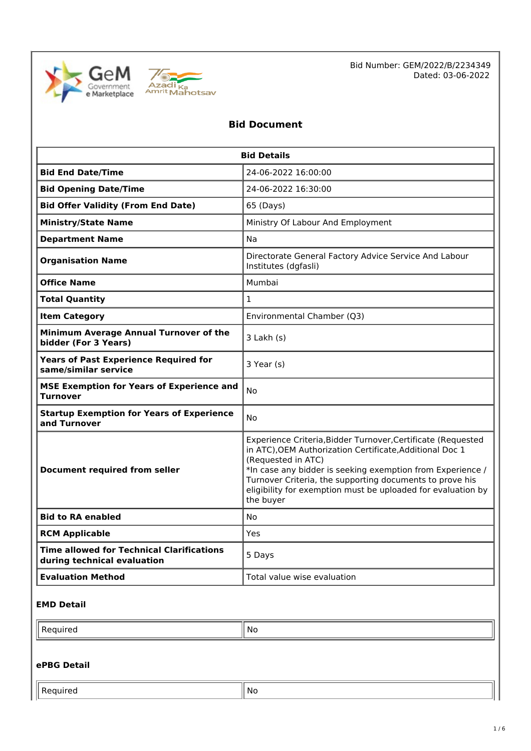



Bid Number: GEM/2022/B/2234349 Dated: 03-06-2022

# **Bid Document**

| <b>Bid Details</b>                                                              |                                                                                                                                                                                                                                                                                                                                                       |  |  |
|---------------------------------------------------------------------------------|-------------------------------------------------------------------------------------------------------------------------------------------------------------------------------------------------------------------------------------------------------------------------------------------------------------------------------------------------------|--|--|
| <b>Bid End Date/Time</b>                                                        | 24-06-2022 16:00:00                                                                                                                                                                                                                                                                                                                                   |  |  |
| <b>Bid Opening Date/Time</b>                                                    | 24-06-2022 16:30:00                                                                                                                                                                                                                                                                                                                                   |  |  |
| <b>Bid Offer Validity (From End Date)</b>                                       | 65 (Days)                                                                                                                                                                                                                                                                                                                                             |  |  |
| <b>Ministry/State Name</b>                                                      | Ministry Of Labour And Employment                                                                                                                                                                                                                                                                                                                     |  |  |
| <b>Department Name</b>                                                          | Na                                                                                                                                                                                                                                                                                                                                                    |  |  |
| <b>Organisation Name</b>                                                        | Directorate General Factory Advice Service And Labour<br>Institutes (dgfasli)                                                                                                                                                                                                                                                                         |  |  |
| <b>Office Name</b>                                                              | Mumbai                                                                                                                                                                                                                                                                                                                                                |  |  |
| <b>Total Quantity</b>                                                           | $\mathbf{1}$                                                                                                                                                                                                                                                                                                                                          |  |  |
| <b>Item Category</b>                                                            | Environmental Chamber (Q3)                                                                                                                                                                                                                                                                                                                            |  |  |
| Minimum Average Annual Turnover of the<br>bidder (For 3 Years)                  | 3 Lakh (s)                                                                                                                                                                                                                                                                                                                                            |  |  |
| <b>Years of Past Experience Required for</b><br>same/similar service            | 3 Year (s)                                                                                                                                                                                                                                                                                                                                            |  |  |
| <b>MSE Exemption for Years of Experience and</b><br><b>Turnover</b>             | No                                                                                                                                                                                                                                                                                                                                                    |  |  |
| <b>Startup Exemption for Years of Experience</b><br>and Turnover                | No                                                                                                                                                                                                                                                                                                                                                    |  |  |
| <b>Document required from seller</b>                                            | Experience Criteria, Bidder Turnover, Certificate (Requested<br>in ATC), OEM Authorization Certificate, Additional Doc 1<br>(Requested in ATC)<br>*In case any bidder is seeking exemption from Experience /<br>Turnover Criteria, the supporting documents to prove his<br>eligibility for exemption must be uploaded for evaluation by<br>the buyer |  |  |
| <b>Bid to RA enabled</b>                                                        | No                                                                                                                                                                                                                                                                                                                                                    |  |  |
| <b>RCM Applicable</b>                                                           | Yes                                                                                                                                                                                                                                                                                                                                                   |  |  |
| <b>Time allowed for Technical Clarifications</b><br>during technical evaluation | 5 Days                                                                                                                                                                                                                                                                                                                                                |  |  |
| <b>Evaluation Method</b>                                                        | Total value wise evaluation                                                                                                                                                                                                                                                                                                                           |  |  |

## **EMD Detail**

| $\sim$<br>. | Ш | N0 |
|-------------|---|----|
|-------------|---|----|

## **ePBG Detail**

 $\Box$ Required  $\parallel$  No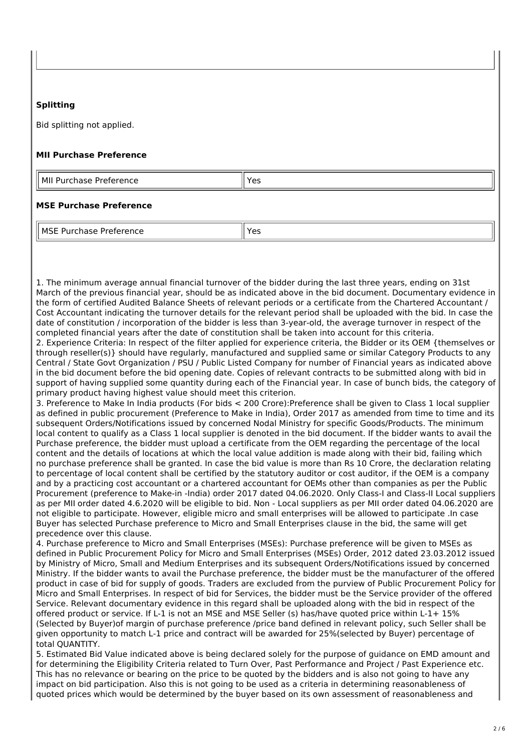## **Splitting**

Bid splitting not applied.

### **MII Purchase Preference**

MII Purchase Preference Yessex All Yes

## **MSE Purchase Preference**

MSE Purchase Preference Yes

1. The minimum average annual financial turnover of the bidder during the last three years, ending on 31st March of the previous financial year, should be as indicated above in the bid document. Documentary evidence in the form of certified Audited Balance Sheets of relevant periods or a certificate from the Chartered Accountant / Cost Accountant indicating the turnover details for the relevant period shall be uploaded with the bid. In case the date of constitution / incorporation of the bidder is less than 3-year-old, the average turnover in respect of the completed financial years after the date of constitution shall be taken into account for this criteria.

2. Experience Criteria: In respect of the filter applied for experience criteria, the Bidder or its OEM {themselves or through reseller(s)} should have regularly, manufactured and supplied same or similar Category Products to any Central / State Govt Organization / PSU / Public Listed Company for number of Financial years as indicated above in the bid document before the bid opening date. Copies of relevant contracts to be submitted along with bid in support of having supplied some quantity during each of the Financial year. In case of bunch bids, the category of primary product having highest value should meet this criterion.

3. Preference to Make In India products (For bids < 200 Crore):Preference shall be given to Class 1 local supplier as defined in public procurement (Preference to Make in India), Order 2017 as amended from time to time and its subsequent Orders/Notifications issued by concerned Nodal Ministry for specific Goods/Products. The minimum local content to qualify as a Class 1 local supplier is denoted in the bid document. If the bidder wants to avail the Purchase preference, the bidder must upload a certificate from the OEM regarding the percentage of the local content and the details of locations at which the local value addition is made along with their bid, failing which no purchase preference shall be granted. In case the bid value is more than Rs 10 Crore, the declaration relating to percentage of local content shall be certified by the statutory auditor or cost auditor, if the OEM is a company and by a practicing cost accountant or a chartered accountant for OEMs other than companies as per the Public Procurement (preference to Make-in -India) order 2017 dated 04.06.2020. Only Class-I and Class-II Local suppliers as per MII order dated 4.6.2020 will be eligible to bid. Non - Local suppliers as per MII order dated 04.06.2020 are not eligible to participate. However, eligible micro and small enterprises will be allowed to participate .In case Buyer has selected Purchase preference to Micro and Small Enterprises clause in the bid, the same will get precedence over this clause.

4. Purchase preference to Micro and Small Enterprises (MSEs): Purchase preference will be given to MSEs as defined in Public Procurement Policy for Micro and Small Enterprises (MSEs) Order, 2012 dated 23.03.2012 issued by Ministry of Micro, Small and Medium Enterprises and its subsequent Orders/Notifications issued by concerned Ministry. If the bidder wants to avail the Purchase preference, the bidder must be the manufacturer of the offered product in case of bid for supply of goods. Traders are excluded from the purview of Public Procurement Policy for Micro and Small Enterprises. In respect of bid for Services, the bidder must be the Service provider of the offered Service. Relevant documentary evidence in this regard shall be uploaded along with the bid in respect of the offered product or service. If L-1 is not an MSE and MSE Seller (s) has/have quoted price within L-1+ 15% (Selected by Buyer)of margin of purchase preference /price band defined in relevant policy, such Seller shall be given opportunity to match L-1 price and contract will be awarded for 25%(selected by Buyer) percentage of total QUANTITY.

5. Estimated Bid Value indicated above is being declared solely for the purpose of guidance on EMD amount and for determining the Eligibility Criteria related to Turn Over, Past Performance and Project / Past Experience etc. This has no relevance or bearing on the price to be quoted by the bidders and is also not going to have any impact on bid participation. Also this is not going to be used as a criteria in determining reasonableness of quoted prices which would be determined by the buyer based on its own assessment of reasonableness and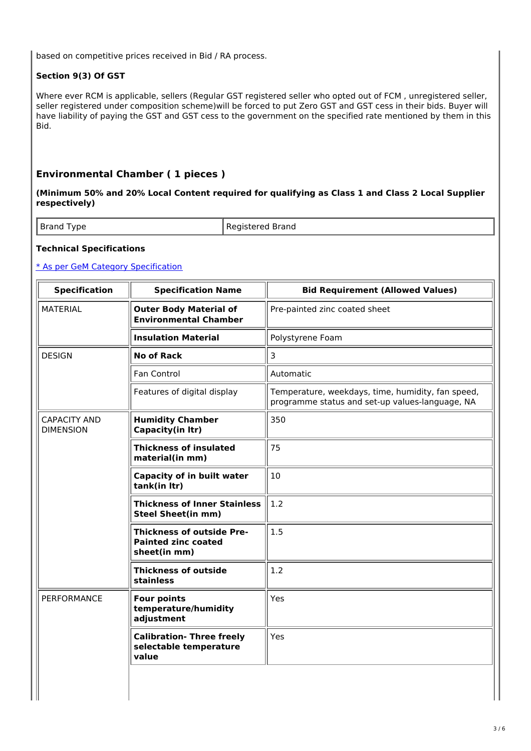based on competitive prices received in Bid / RA process.

# **Section 9(3) Of GST**

Where ever RCM is applicable, sellers (Regular GST registered seller who opted out of FCM , unregistered seller, seller registered under composition scheme)will be forced to put Zero GST and GST cess in their bids. Buyer will have liability of paying the GST and GST cess to the government on the specified rate mentioned by them in this Bid.

# **Environmental Chamber ( 1 pieces )**

**(Minimum 50% and 20% Local Content required for qualifying as Class 1 and Class 2 Local Supplier respectively)**

Brand Type Registered Brand

## **Technical Specifications**

### \* As per GeM Category Specification

| <b>Specification</b>                                                | <b>Specification Name</b>                                                      | <b>Bid Requirement (Allowed Values)</b>                                                              |  |
|---------------------------------------------------------------------|--------------------------------------------------------------------------------|------------------------------------------------------------------------------------------------------|--|
| <b>MATERIAL</b>                                                     | <b>Outer Body Material of</b><br><b>Environmental Chamber</b>                  | Pre-painted zinc coated sheet                                                                        |  |
|                                                                     | <b>Insulation Material</b>                                                     | Polystyrene Foam                                                                                     |  |
| <b>DESIGN</b>                                                       | <b>No of Rack</b>                                                              | 3                                                                                                    |  |
|                                                                     | Fan Control                                                                    | Automatic                                                                                            |  |
|                                                                     | Features of digital display                                                    | Temperature, weekdays, time, humidity, fan speed,<br>programme status and set-up values-language, NA |  |
| <b>CAPACITY AND</b><br><b>DIMENSION</b>                             | <b>Humidity Chamber</b><br>Capacity(in ltr)                                    | 350                                                                                                  |  |
|                                                                     | <b>Thickness of insulated</b><br>material(in mm)                               | 75                                                                                                   |  |
|                                                                     | <b>Capacity of in built water</b><br>tank(in ltr)                              | 10                                                                                                   |  |
|                                                                     | <b>Thickness of Inner Stainless</b><br><b>Steel Sheet(in mm)</b>               | 1.2                                                                                                  |  |
|                                                                     | <b>Thickness of outside Pre-</b><br><b>Painted zinc coated</b><br>sheet(in mm) | 1.5                                                                                                  |  |
|                                                                     | <b>Thickness of outside</b><br>stainless                                       | 1.2                                                                                                  |  |
| <b>PERFORMANCE</b>                                                  | <b>Four points</b><br>temperature/humidity<br>adjustment                       | Yes                                                                                                  |  |
| <b>Calibration- Three freely</b><br>selectable temperature<br>value |                                                                                | Yes                                                                                                  |  |
|                                                                     |                                                                                |                                                                                                      |  |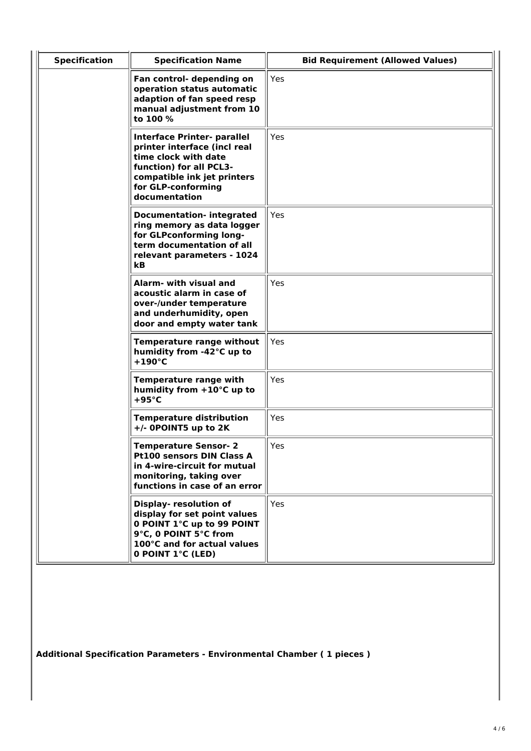| <b>Specification</b> | <b>Specification Name</b>                                                                                                                                                            | <b>Bid Requirement (Allowed Values)</b> |
|----------------------|--------------------------------------------------------------------------------------------------------------------------------------------------------------------------------------|-----------------------------------------|
|                      | Fan control- depending on<br>operation status automatic<br>adaption of fan speed resp<br>manual adjustment from 10<br>to 100 %                                                       | Yes                                     |
|                      | Interface Printer- parallel<br>printer interface (incl real<br>time clock with date<br>function) for all PCL3-<br>compatible ink jet printers<br>for GLP-conforming<br>documentation | Yes                                     |
|                      | <b>Documentation- integrated</b><br>ring memory as data logger<br>for GLPconforming long-<br>term documentation of all<br>relevant parameters - 1024<br>kB.                          | Yes                                     |
|                      | Alarm- with visual and<br>acoustic alarm in case of<br>over-/under temperature<br>and underhumidity, open<br>door and empty water tank                                               | Yes                                     |
|                      | Temperature range without<br>humidity from -42°C up to<br>$+190^{\circ}$ C                                                                                                           | <b>Yes</b>                              |
|                      | Temperature range with<br>humidity from +10°C up to<br>$+95^{\circ}$ C                                                                                                               | Yes                                     |
|                      | <b>Temperature distribution</b><br>+/- 0POINT5 up to 2K                                                                                                                              | Yes                                     |
|                      | <b>Temperature Sensor-2</b><br>Pt100 sensors DIN Class A<br>in 4-wire-circuit for mutual<br>monitoring, taking over<br>functions in case of an error                                 | Yes                                     |
|                      | Display- resolution of<br>display for set point values<br>0 POINT 1°C up to 99 POINT<br>9°C, 0 POINT 5°C from<br>100°C and for actual values<br>0 POINT 1°C (LED)                    | Yes                                     |

**Additional Specification Parameters - Environmental Chamber ( 1 pieces )**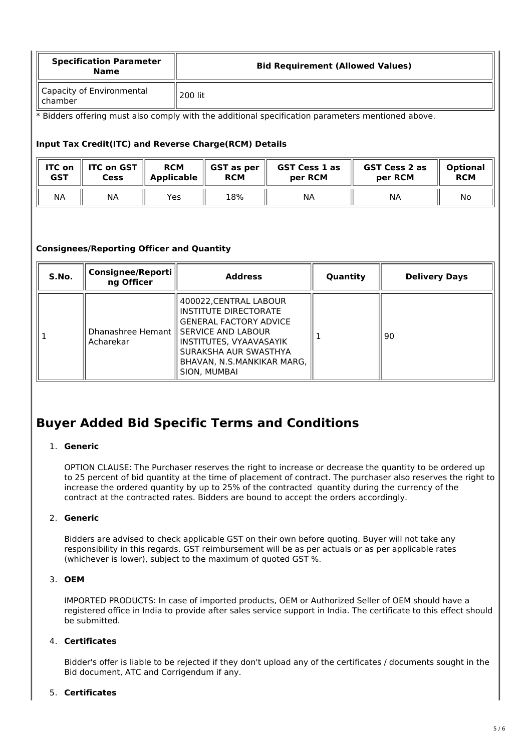| <b>Specification Parameter</b><br><b>Name</b> | <b>Bid Requirement (Allowed Values)</b> |
|-----------------------------------------------|-----------------------------------------|
| Capacity of Environmental<br>chamber          | 200 lit                                 |

\* Bidders offering must also comply with the additional specification parameters mentioned above.

### **Input Tax Credit(ITC) and Reverse Charge(RCM) Details**

| <b>ITC on</b> | <b>ITC on GST</b> | <b>RCM</b>        | GST as per | <b>GST Cess 1 as</b> | <b>GST Cess 2 as</b> | <b>Optional</b> |
|---------------|-------------------|-------------------|------------|----------------------|----------------------|-----------------|
| GST           | <b>Cess</b>       | <b>Applicable</b> | <b>RCM</b> | per RCM              | per RCM              | <b>RCM</b>      |
| <b>NA</b>     | <b>NA</b>         | Yes.              | 18%        | ΝA                   | ΝA                   | No              |

## **Consignees/Reporting Officer and Quantity**

| S.No. | <b>Consignee/Reporti</b><br>ng Officer | <b>Address</b>                                                                                                                                                                                                                | Quantity | <b>Delivery Days</b> |
|-------|----------------------------------------|-------------------------------------------------------------------------------------------------------------------------------------------------------------------------------------------------------------------------------|----------|----------------------|
|       | Acharekar                              | 400022, CENTRAL LABOUR<br>INSTITUTE DIRECTORATE<br><b>GENERAL FACTORY ADVICE</b><br>Dhanashree Hemant    SERVICE AND LABOUR<br>INSTITUTES, VYAAVASAYIK<br>SURAKSHA AUR SWASTHYA<br>BHAVAN, N.S.MANKIKAR MARG,<br>SION, MUMBAI |          | 90                   |

# **Buyer Added Bid Specific Terms and Conditions**

## 1. **Generic**

OPTION CLAUSE: The Purchaser reserves the right to increase or decrease the quantity to be ordered up to 25 percent of bid quantity at the time of placement of contract. The purchaser also reserves the right to increase the ordered quantity by up to 25% of the contracted quantity during the currency of the contract at the contracted rates. Bidders are bound to accept the orders accordingly.

## 2. **Generic**

Bidders are advised to check applicable GST on their own before quoting. Buyer will not take any responsibility in this regards. GST reimbursement will be as per actuals or as per applicable rates (whichever is lower), subject to the maximum of quoted GST %.

### 3. **OEM**

IMPORTED PRODUCTS: In case of imported products, OEM or Authorized Seller of OEM should have a registered office in India to provide after sales service support in India. The certificate to this effect should be submitted.

# 4. **Certificates**

Bidder's offer is liable to be rejected if they don't upload any of the certificates / documents sought in the Bid document, ATC and Corrigendum if any.

### 5. **Certificates**